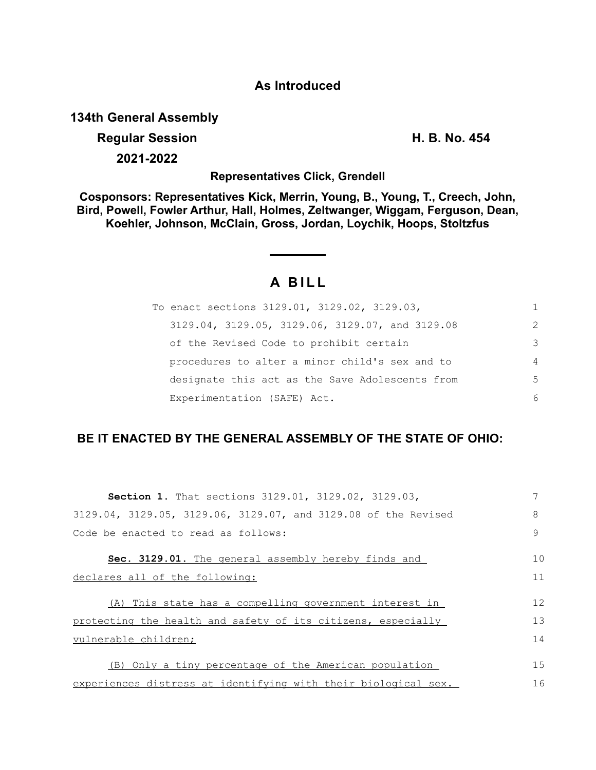## **As Introduced**

**134th General Assembly**

## **Regular Session H. B. No. 454**

**2021-2022**

**Representatives Click, Grendell**

**Cosponsors: Representatives Kick, Merrin, Young, B., Young, T., Creech, John, Bird, Powell, Fowler Arthur, Hall, Holmes, Zeltwanger, Wiggam, Ferguson, Dean, Koehler, Johnson, McClain, Gross, Jordan, Loychik, Hoops, Stoltzfus**

## **A B I L L**

| To enact sections 3129.01, 3129.02, 3129.03,    | 1              |
|-------------------------------------------------|----------------|
| 3129.04, 3129.05, 3129.06, 3129.07, and 3129.08 | $\mathcal{L}$  |
| of the Revised Code to prohibit certain         | 3              |
| procedures to alter a minor child's sex and to  | $\overline{4}$ |
| designate this act as the Save Adolescents from | 5              |
| Experimentation (SAFE) Act.                     | 6              |

## **BE IT ENACTED BY THE GENERAL ASSEMBLY OF THE STATE OF OHIO:**

| <b>Section 1.</b> That sections 3129.01, 3129.02, 3129.03,     |    |
|----------------------------------------------------------------|----|
| 3129.04, 3129.05, 3129.06, 3129.07, and 3129.08 of the Revised | 8  |
| Code be enacted to read as follows:                            | 9  |
| Sec. 3129.01. The general assembly hereby finds and            | 10 |
| declares all of the following:                                 | 11 |
| (A) This state has a compelling government interest in         | 12 |
|                                                                |    |
| protecting the health and safety of its citizens, especially   | 13 |
| vulnerable children;                                           | 14 |
|                                                                |    |
| (B) Only a tiny percentage of the American population          | 15 |
| experiences distress at identifying with their biological sex. | 16 |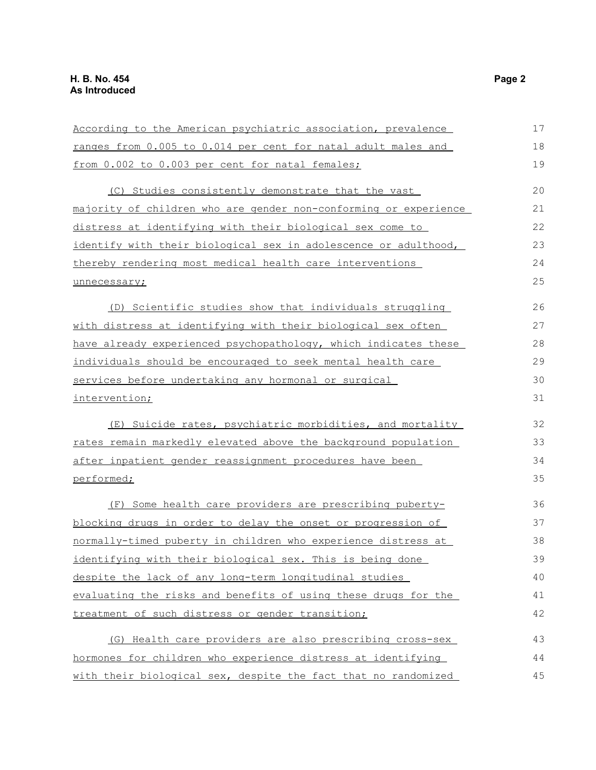| According to the American psychiatric association, prevalence    | 17 |
|------------------------------------------------------------------|----|
| ranges from 0.005 to 0.014 per cent for natal adult males and    | 18 |
| from 0.002 to 0.003 per cent for natal females;                  | 19 |
| (C) Studies consistently demonstrate that the vast               | 20 |
| majority of children who are gender non-conforming or experience | 21 |
| distress at identifying with their biological sex come to        | 22 |
| identify with their biological sex in adolescence or adulthood,  | 23 |
| thereby rendering most medical health care interventions         | 24 |
| unnecessary;                                                     | 25 |
| (D) Scientific studies show that individuals struggling          | 26 |
| with distress at identifying with their biological sex often     | 27 |
| have already experienced psychopathology, which indicates these  | 28 |
| individuals should be encouraged to seek mental health care      | 29 |
| services before undertaking any hormonal or surgical             | 30 |
| intervention;                                                    | 31 |
| (E) Suicide rates, psychiatric morbidities, and mortality        | 32 |
| rates remain markedly elevated above the background population   | 33 |
| after inpatient gender reassignment procedures have been         | 34 |
| performed;                                                       | 35 |
| (F) Some health care providers are prescribing puberty-          | 36 |
| blocking drugs in order to delay the onset or progression of     | 37 |
| normally-timed puberty in children who experience distress at    | 38 |
| <u>identifying with their biological sex. This is being done</u> | 39 |
| despite the lack of any long-term longitudinal studies           | 40 |
| evaluating the risks and benefits of using these drugs for the   | 41 |
| treatment of such distress or gender transition;                 | 42 |
| (G) Health care providers are also prescribing cross-sex         | 43 |
| hormones for children who experience distress at identifying     | 44 |
| with their biological sex, despite the fact that no randomized   | 45 |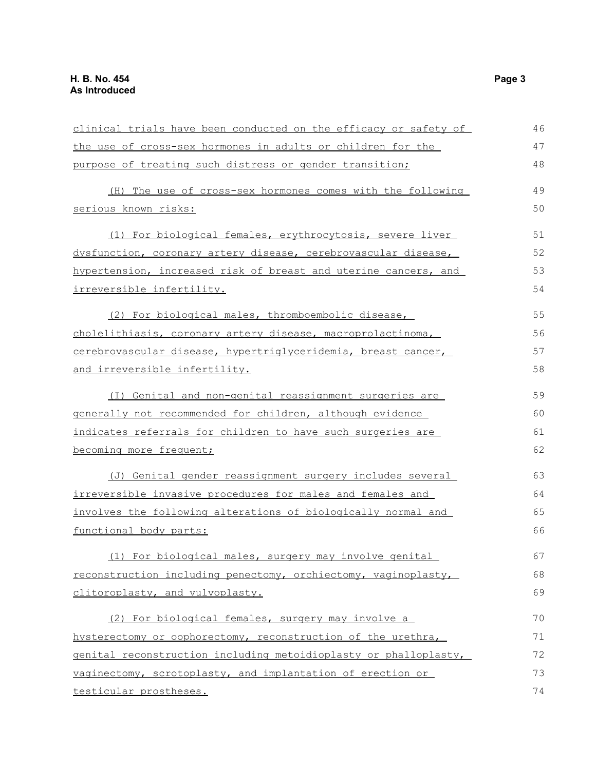| clinical trials have been conducted on the efficacy or safety of | 46 |
|------------------------------------------------------------------|----|
| the use of cross-sex hormones in adults or children for the      | 47 |
| purpose of treating such distress or gender transition;          | 48 |
| (H) The use of cross-sex hormones comes with the following       | 49 |
| serious known risks:                                             | 50 |
| (1) For biological females, erythrocytosis, severe liver         | 51 |
| dysfunction, coronary artery disease, cerebrovascular disease,   | 52 |
| hypertension, increased risk of breast and uterine cancers, and  | 53 |
| <u>irreversible infertility.</u>                                 | 54 |
| (2) For biological males, thromboembolic disease,                | 55 |
| cholelithiasis, coronary artery disease, macroprolactinoma,      | 56 |
| cerebrovascular disease, hypertriglyceridemia, breast cancer,    | 57 |
| and irreversible infertility.                                    | 58 |
| (I) Genital and non-genital reassignment surgeries are           | 59 |
| generally not recommended for children, although evidence        | 60 |
| indicates referrals for children to have such surgeries are      | 61 |
| becoming more frequent;                                          | 62 |
| (J) Genital gender reassignment surgery includes several         | 63 |
| irreversible invasive procedures for males and females and       | 64 |
| involves the following alterations of biologically normal and    | 65 |
| functional body parts:                                           | 66 |
| (1) For biological males, surgery may involve genital            | 67 |
| reconstruction including penectomy, orchiectomy, vaginoplasty,   | 68 |
| clitoroplasty, and vulvoplasty.                                  | 69 |
| (2) For biological females, surgery may involve a                | 70 |
| hysterectomy or oophorectomy, reconstruction of the urethra,     | 71 |
| genital reconstruction including metoidioplasty or phalloplasty, | 72 |
| vaginectomy, scrotoplasty, and implantation of erection or       | 73 |
| testicular prostheses.                                           | 74 |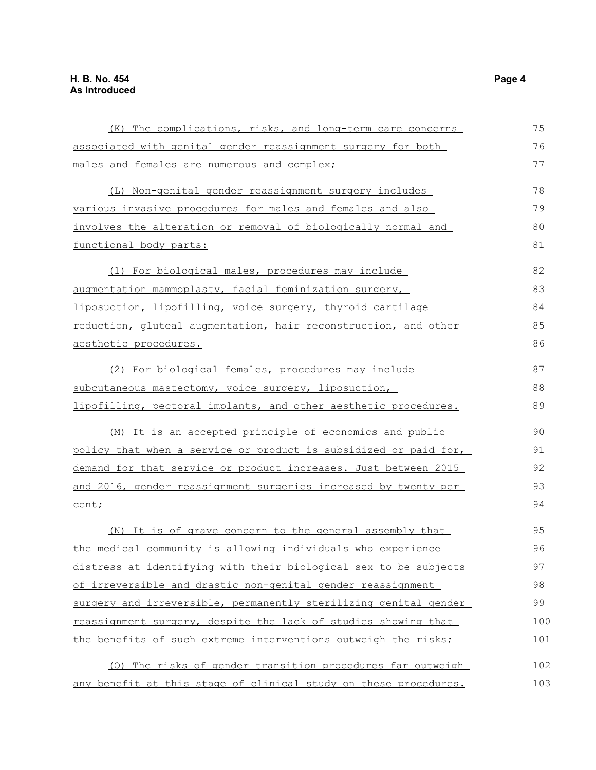| (K) The complications, risks, and long-term care concerns        | 75  |
|------------------------------------------------------------------|-----|
| associated with genital gender reassignment surgery for both     | 76  |
| males and females are numerous and complex;                      | 77  |
| (L) Non-genital gender reassignment surgery includes             | 78  |
| various invasive procedures for males and females and also       | 79  |
| involves the alteration or removal of biologically normal and    | 80  |
| functional body parts:                                           | 81  |
| (1) For biological males, procedures may include                 | 82  |
| augmentation mammoplasty, facial feminization surgery,           | 83  |
| liposuction, lipofilling, voice surgery, thyroid cartilage       | 84  |
| reduction, gluteal augmentation, hair reconstruction, and other  | 85  |
| aesthetic procedures.                                            | 86  |
| (2) For biological females, procedures may include               | 87  |
| subcutaneous mastectomy, voice surgery, liposuction,             | 88  |
| lipofilling, pectoral implants, and other aesthetic procedures.  | 89  |
| (M) It is an accepted principle of economics and public          | 90  |
| policy that when a service or product is subsidized or paid for, | 91  |
| demand for that service or product increases. Just between 2015  | 92  |
| and 2016, gender reassignment surgeries increased by twenty per  | 93  |
| cent;                                                            | 94  |
| (N) It is of grave concern to the general assembly that          | 95  |
| the medical community is allowing individuals who experience     | 96  |
| distress at identifying with their biological sex to be subjects | 97  |
| of irreversible and drastic non-genital gender reassignment      | 98  |
| surgery and irreversible, permanently sterilizing genital gender | 99  |
| reassignment surgery, despite the lack of studies showing that   | 100 |
| the benefits of such extreme interventions outweigh the risks;   | 101 |
| (0) The risks of gender transition procedures far outweigh       | 102 |
| any benefit at this stage of clinical study on these procedures. | 103 |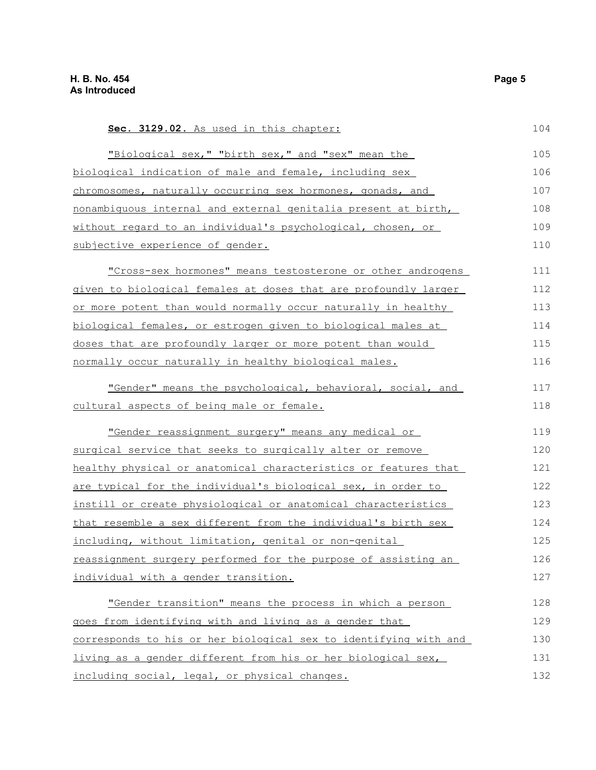| Sec. 3129.02. As used in this chapter:                           | 104 |
|------------------------------------------------------------------|-----|
| "Biological sex," "birth sex," and "sex" mean the                | 105 |
| biological indication of male and female, including sex          | 106 |
| chromosomes, naturally occurring sex hormones, gonads, and       | 107 |
| nonambiquous internal and external genitalia present at birth,   | 108 |
| without regard to an individual's psychological, chosen, or      | 109 |
| subjective experience of gender.                                 | 110 |
| "Cross-sex hormones" means testosterone or other androgens       | 111 |
| given to biological females at doses that are profoundly larger  | 112 |
| or more potent than would normally occur naturally in healthy    | 113 |
| biological females, or estrogen given to biological males at     | 114 |
| doses that are profoundly larger or more potent than would       | 115 |
| normally occur naturally in healthy biological males.            | 116 |
| "Gender" means the psychological, behavioral, social, and        | 117 |
| cultural aspects of being male or female.                        | 118 |
| "Gender reassignment surgery" means any medical or               | 119 |
| surgical service that seeks to surgically alter or remove        | 120 |
| healthy physical or anatomical characteristics or features that  | 121 |
| are typical for the individual's biological sex, in order to     | 122 |
| instill or create physiological or anatomical characteristics    | 123 |
| that resemble a sex different from the individual's birth sex    | 124 |
| including, without limitation, genital or non-genital            | 125 |
| reassignment surgery performed for the purpose of assisting an   | 126 |
| individual with a gender transition.                             | 127 |
| "Gender transition" means the process in which a person          | 128 |
| goes from identifying with and living as a gender that           | 129 |
| corresponds to his or her biological sex to identifying with and | 130 |
| living as a gender different from his or her biological sex,     | 131 |
| including social, legal, or physical changes.                    | 132 |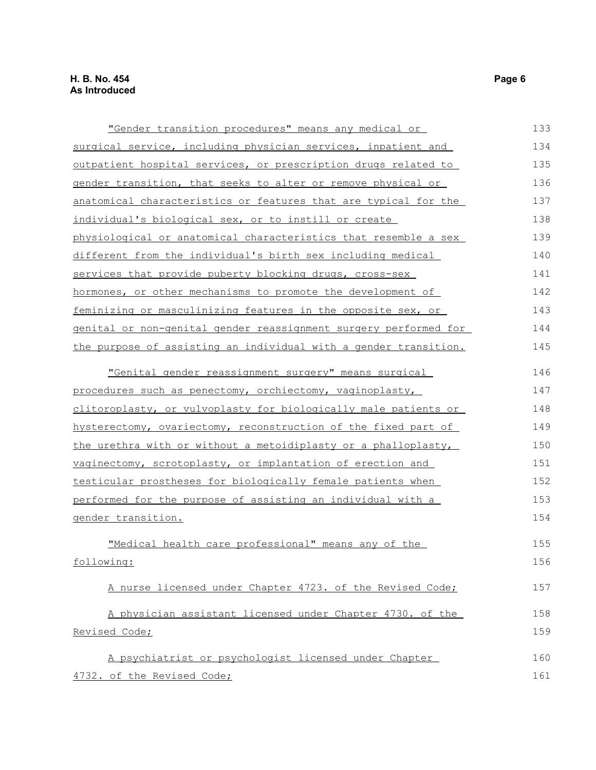| "Gender transition procedures" means any medical or              | 133 |
|------------------------------------------------------------------|-----|
| surgical service, including physician services, inpatient and    | 134 |
| outpatient hospital services, or prescription drugs related to   | 135 |
| gender transition, that seeks to alter or remove physical or     | 136 |
| anatomical characteristics or features that are typical for the  | 137 |
| individual's biological sex, or to instill or create             | 138 |
| physiological or anatomical characteristics that resemble a sex  | 139 |
| different from the individual's birth sex including medical      | 140 |
| services that provide puberty blocking drugs, cross-sex          | 141 |
| hormones, or other mechanisms to promote the development of      | 142 |
| feminizing or masculinizing features in the opposite sex, or     | 143 |
| genital or non-genital gender reassignment surgery performed for | 144 |
| the purpose of assisting an individual with a gender transition. | 145 |
| "Genital gender reassignment surgery" means surgical             | 146 |
|                                                                  |     |
| procedures such as penectomy, orchiectomy, vaginoplasty,         | 147 |
| clitoroplasty, or vulvoplasty for biologically male patients or  | 148 |
| hysterectomy, ovariectomy, reconstruction of the fixed part of   | 149 |
| the urethra with or without a metoidiplasty or a phalloplasty,   | 150 |
| vaginectomy, scrotoplasty, or implantation of erection and       | 151 |
| testicular prostheses for biologically female patients when      | 152 |
| performed for the purpose of assisting an individual with a      | 153 |
| gender transition.                                               | 154 |
| "Medical health care professional" means any of the              | 155 |
| following:                                                       | 156 |
|                                                                  |     |
| A nurse licensed under Chapter 4723. of the Revised Code;        | 157 |
| A physician assistant licensed under Chapter 4730. of the        | 158 |
| Revised Code;                                                    | 159 |
| A psychiatrist or psychologist licensed under Chapter            | 160 |
|                                                                  |     |
| 4732. of the Revised Code;                                       | 161 |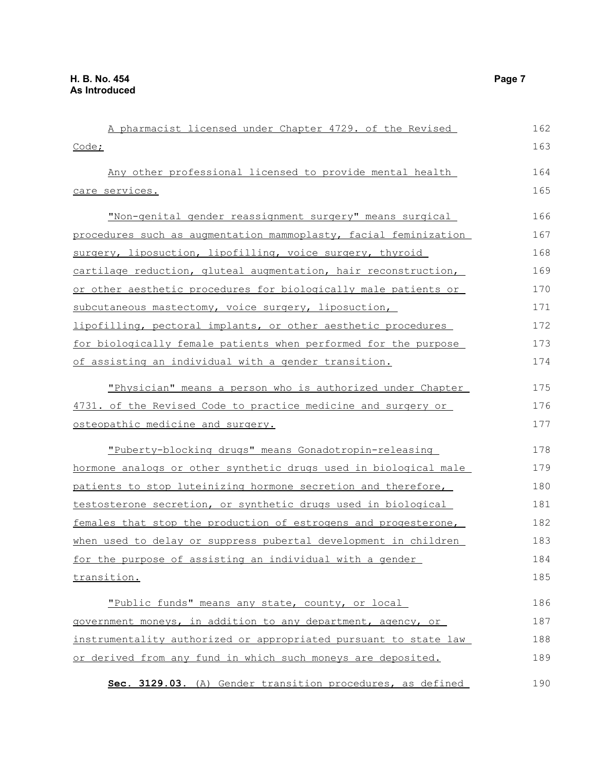| A pharmacist licensed under Chapter 4729. of the Revised                | 162 |
|-------------------------------------------------------------------------|-----|
| Code;                                                                   | 163 |
| Any other professional licensed to provide mental health                | 164 |
| <u>care services.</u>                                                   | 165 |
| "Non-genital gender reassignment surgery" means surgical                | 166 |
| procedures such as augmentation mammoplasty, facial feminization        | 167 |
| surgery, liposuction, lipofilling, voice surgery, thyroid               | 168 |
| cartilage reduction, gluteal augmentation, hair reconstruction,         | 169 |
| or other aesthetic procedures for biologically male patients or         | 170 |
| subcutaneous mastectomy, voice surgery, liposuction,                    | 171 |
| lipofilling, pectoral implants, or other aesthetic procedures           | 172 |
| for biologically female patients when performed for the purpose         | 173 |
| of assisting an individual with a gender transition.                    | 174 |
| "Physician" means a person who is authorized under Chapter              | 175 |
| 4731. of the Revised Code to practice medicine and surgery or           | 176 |
| osteopathic medicine and surgery.                                       | 177 |
| "Puberty-blocking drugs" means Gonadotropin-releasing                   | 178 |
| <u>hormone analogs or other synthetic drugs used in biological male</u> | 179 |
| patients to stop luteinizing hormone secretion and therefore,           | 180 |
| testosterone secretion, or synthetic drugs used in biological           | 181 |
| females that stop the production of estrogens and progesterone,         | 182 |
| when used to delay or suppress pubertal development in children         | 183 |
| for the purpose of assisting an individual with a gender                | 184 |
| transition.                                                             | 185 |
| "Public funds" means any state, county, or local                        | 186 |
| government moneys, in addition to any department, agency, or            | 187 |
| instrumentality authorized or appropriated pursuant to state law        | 188 |
| or derived from any fund in which such moneys are deposited.            | 189 |
| Sec. 3129.03. (A) Gender transition procedures, as defined              | 190 |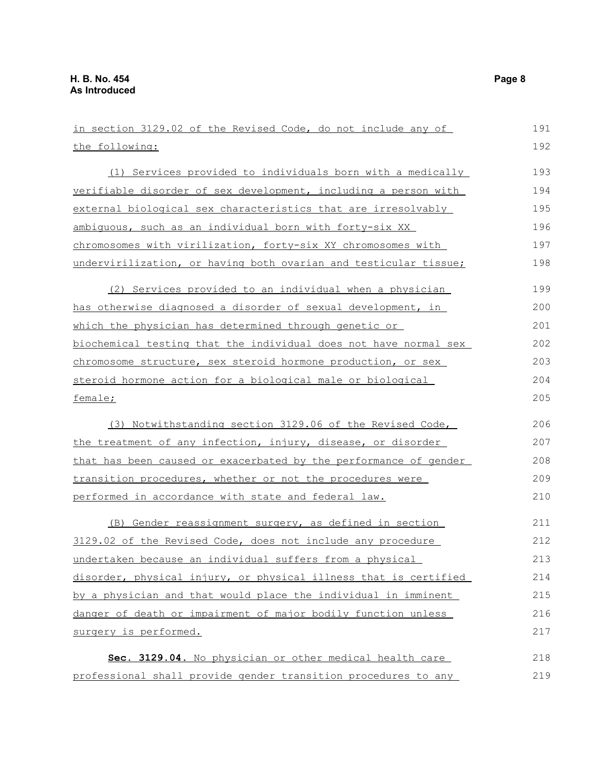| in section 3129.02 of the Revised Code, do not include any of    | 191 |
|------------------------------------------------------------------|-----|
| the following:                                                   | 192 |
| (1) Services provided to individuals born with a medically       | 193 |
| verifiable disorder of sex development, including a person with  | 194 |
| external biological sex characteristics that are irresolvably    | 195 |
| ambiquous, such as an individual born with forty-six XX          | 196 |
| chromosomes with virilization, forty-six XY chromosomes with     | 197 |
| undervirilization, or having both ovarian and testicular tissue; | 198 |
| (2) Services provided to an individual when a physician          | 199 |
| has otherwise diagnosed a disorder of sexual development, in     | 200 |
| which the physician has determined through genetic or            | 201 |
| biochemical testing that the individual does not have normal sex | 202 |
| chromosome structure, sex steroid hormone production, or sex     | 203 |
| steroid hormone action for a biological male or biological       | 204 |
| female;                                                          | 205 |
| (3) Notwithstanding section 3129.06 of the Revised Code,         | 206 |
| the treatment of any infection, injury, disease, or disorder     | 207 |
| that has been caused or exacerbated by the performance of gender | 208 |
| transition procedures, whether or not the procedures were        | 209 |
| performed in accordance with state and federal law.              | 210 |
| (B) Gender reassignment surgery, as defined in section           | 211 |
| 3129.02 of the Revised Code, does not include any procedure      | 212 |
| undertaken because an individual suffers from a physical         | 213 |
| disorder, physical injury, or physical illness that is certified | 214 |
| by a physician and that would place the individual in imminent   | 215 |
| danger of death or impairment of major bodily function unless    | 216 |
| surgery is performed.                                            | 217 |
| Sec. 3129.04. No physician or other medical health care          | 218 |
| professional shall provide gender transition procedures to any   | 219 |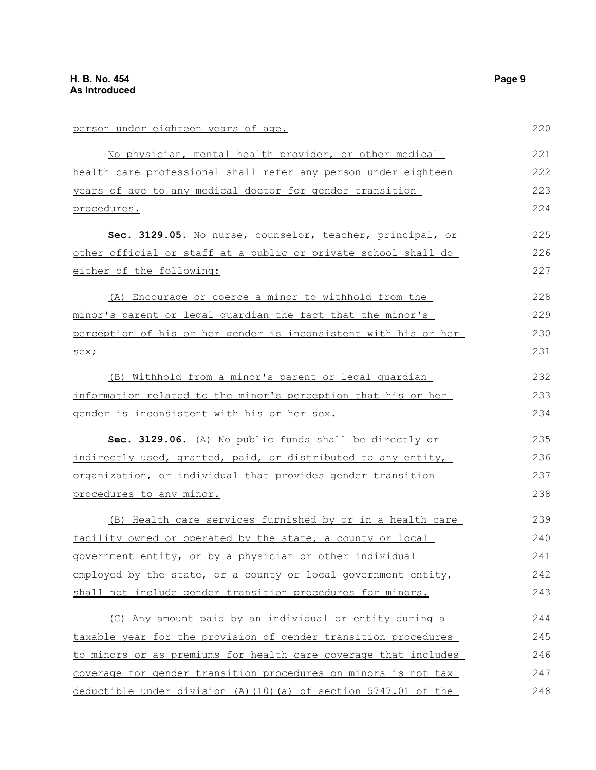person under eighteen years of age. No physician, mental health provider, or other medical health care professional shall refer any person under eighteen years of age to any medical doctor for gender transition procedures. **Sec. 3129.05.** No nurse, counselor, teacher, principal, or other official or staff at a public or private school shall do either of the following: (A) Encourage or coerce a minor to withhold from the minor's parent or legal guardian the fact that the minor's perception of his or her gender is inconsistent with his or her sex; (B) Withhold from a minor's parent or legal guardian information related to the minor's perception that his or her gender is inconsistent with his or her sex. **Sec. 3129.06.** (A) No public funds shall be directly or indirectly used, granted, paid, or distributed to any entity, organization, or individual that provides gender transition procedures to any minor. (B) Health care services furnished by or in a health care facility owned or operated by the state, a county or local government entity, or by a physician or other individual employed by the state, or a county or local government entity, shall not include gender transition procedures for minors. (C) Any amount paid by an individual or entity during a taxable year for the provision of gender transition procedures to minors or as premiums for health care coverage that includes coverage for gender transition procedures on minors is not tax deductible under division (A)(10)(a) of section 5747.01 of the 220 221 222 223 224 225 226 227 228 229 230 231 232 233 234 235 236 237 238 239 240 241 242 243 244 245 246 247 248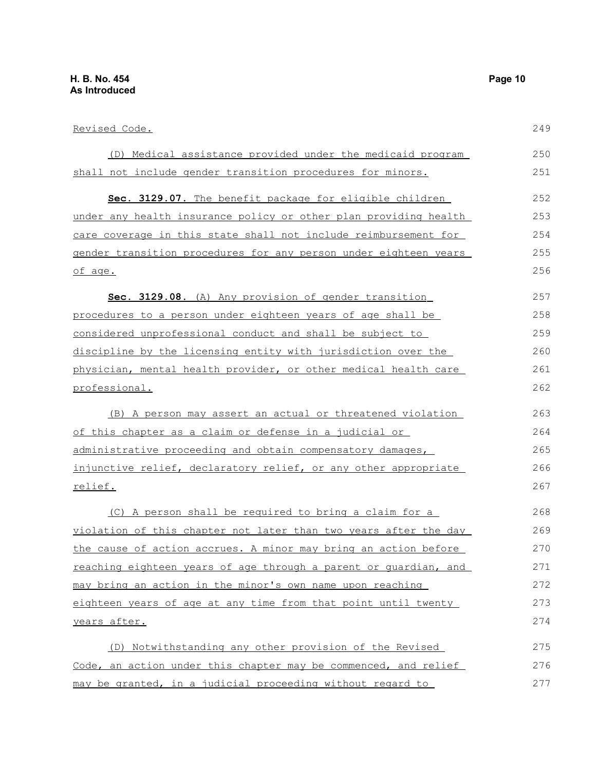| Revised Code.                                                     | 249 |
|-------------------------------------------------------------------|-----|
| (D) Medical assistance provided under the medicaid program        | 250 |
| shall not include gender transition procedures for minors.        | 251 |
| Sec. 3129.07. The benefit package for eligible children           | 252 |
| under any health insurance policy or other plan providing health  | 253 |
| care coverage in this state shall not include reimbursement for   | 254 |
| gender transition procedures for any person under eighteen years  | 255 |
| of age.                                                           | 256 |
| Sec. 3129.08. (A) Any provision of gender transition              | 257 |
| procedures to a person under eighteen years of age shall be       | 258 |
| considered unprofessional conduct and shall be subject to         | 259 |
| discipline by the licensing entity with jurisdiction over the     | 260 |
| physician, mental health provider, or other medical health care   | 261 |
| professional.                                                     | 262 |
| (B) A person may assert an actual or threatened violation         | 263 |
| <u>of this chapter as a claim or defense in a judicial or </u>    | 264 |
| <u>administrative proceeding and obtain compensatory damages,</u> | 265 |
| injunctive relief, declaratory relief, or any other appropriate   | 266 |
| relief.                                                           | 267 |
| (C) A person shall be required to bring a claim for a             | 268 |
| violation of this chapter not later than two years after the day  | 269 |
| the cause of action accrues. A minor may bring an action before   | 270 |
| reaching eighteen years of age through a parent or quardian, and  | 271 |
| may bring an action in the minor's own name upon reaching         | 272 |
| eighteen years of age at any time from that point until twenty    | 273 |
| years after.                                                      | 274 |
| (D) Notwithstanding any other provision of the Revised            | 275 |
| Code, an action under this chapter may be commenced, and relief   | 276 |
| may be granted, in a judicial proceeding without regard to        | 277 |